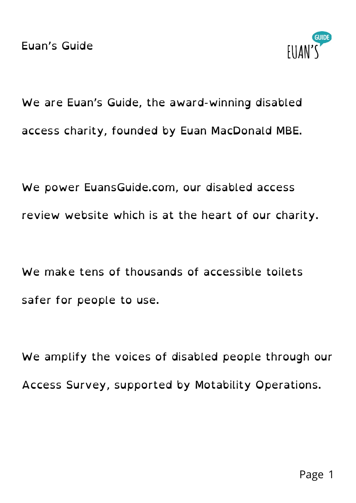

We are Euan's Guide, the award-winning disabled access charity, founded by Euan MacDonald MBE.

We power EuansGuide.com, our disabled access review website which is at the heart of our charity.

We make tens of thousands of accessible toilets safer for people to use.

We amplify the voices of disabled people through our Access Survey, supported by Motability Operations.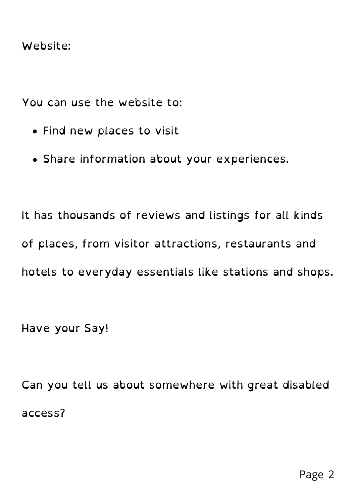## Website:

You can use the website to:

- Find new places to visit
- Share information about your experiences.

It has thousands of reviews and listings for all kinds of places, from visitor attractions, restaurants and hotels to everyday essentials like stations and shops.

Have your Say!

Can you tell us about somewhere with great disabled access?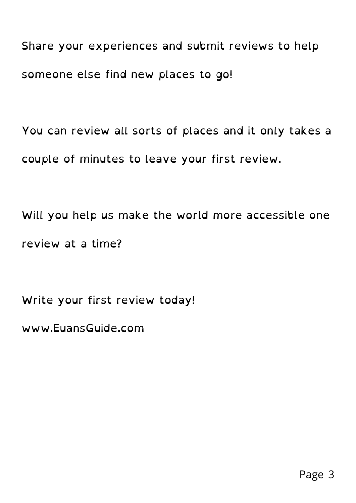Share your experiences and submit reviews to help someone else find new places to go!

You can review all sorts of places and it only takes a couple of minutes to leave your first review.

Will you help us make the world more accessible one review at a time?

Write your first review today!

www.EuansGuide.com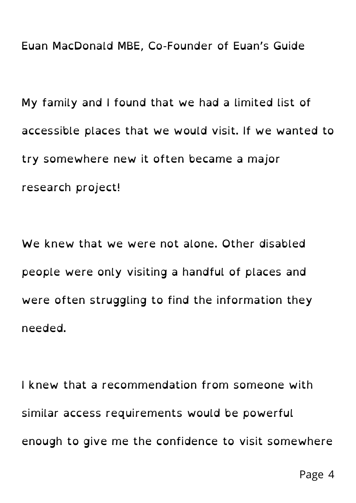Euan MacDonald MBE, Co-Founder of Euan's Guide

My family and I found that we had a limited list of accessible places that we would visit. If we wanted to try somewhere new it often became a major research project!

We knew that we were not alone. Other disabled people were only visiting a handful of places and were often struggling to find the information they needed.

I knew that a recommendation from someone with similar access requirements would be powerful enough to give me the confidence to visit somewhere